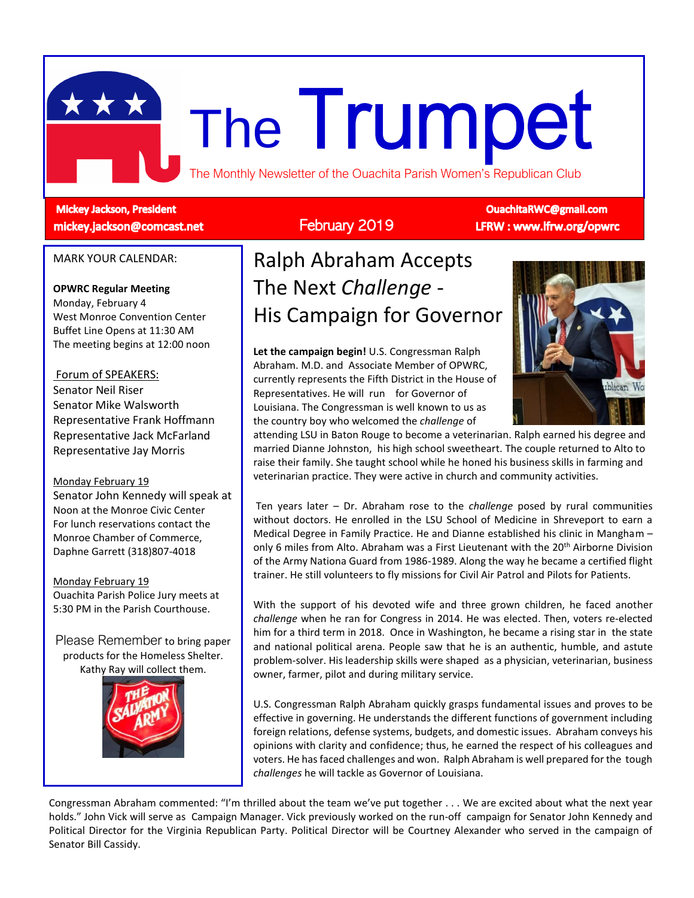

### **Mickey Jackson, President** mickey.jackson@comcast.net

# February 2019

**OuachitaRWC@gmail.com** LFRW: www.lfrw.org/opwrc

### MARK YOUR CALENDAR:

### **OPWRC Regular Meeting**

Monday, February 4 West Monroe Convention Center Buffet Line Opens at 11:30 AM The meeting begins at 12:00 noon

### Forum of SPEAKERS:

Senator Neil Riser Senator Mike Walsworth Representative Frank Hoffmann Representative Jack McFarland Representative Jay Morris

#### Monday February 19

Senator John Kennedy will speak at Noon at the Monroe Civic Center For lunch reservations contact the Monroe Chamber of Commerce, Daphne Garrett (318)807-4018

Monday February 19 Ouachita Parish Police Jury meets at 5:30 PM in the Parish Courthouse.

Please Remember to bring paper products for the Homeless Shelter. Kathy Ray will collect them.



# Ralph Abraham Accepts The Next *Challenge* - His Campaign for Governor

**Let the campaign begin!** U.S. Congressman Ralph Abraham. M.D. and Associate Member of OPWRC, currently represents the Fifth District in the House of Representatives. He will run for Governor of Louisiana. The Congressman is well known to us as the country boy who welcomed the *challenge* of



attending LSU in Baton Rouge to become a veterinarian. Ralph earned his degree and married Dianne Johnston, his high school sweetheart. The couple returned to Alto to raise their family. She taught school while he honed his business skills in farming and veterinarian practice. They were active in church and community activities.

Ten years later – Dr. Abraham rose to the *challenge* posed by rural communities without doctors. He enrolled in the LSU School of Medicine in Shreveport to earn a Medical Degree in Family Practice. He and Dianne established his clinic in Mangham – only 6 miles from Alto. Abraham was a First Lieutenant with the  $20<sup>th</sup>$  Airborne Division of the Army Nationa Guard from 1986-1989. Along the way he became a certified flight trainer. He still volunteers to fly missions for Civil Air Patrol and Pilots for Patients.

With the support of his devoted wife and three grown children, he faced another *challenge* when he ran for Congress in 2014. He was elected. Then, voters re-elected him for a third term in 2018. Once in Washington, he became a rising star in the state and national political arena. People saw that he is an authentic, humble, and astute problem-solver. His leadership skills were shaped as a physician, veterinarian, business owner, farmer, pilot and during military service.

U.S. Congressman Ralph Abraham quickly grasps fundamental issues and proves to be effective in governing. He understands the different functions of government including foreign relations, defense systems, budgets, and domestic issues. Abraham conveys his opinions with clarity and confidence; thus, he earned the respect of his colleagues and voters. He has faced challenges and won. Ralph Abraham is well prepared for the tough *challenges* he will tackle as Governor of Louisiana.

Congressman Abraham commented: "I'm thrilled about the team we've put together . . . We are excited about what the next year holds." John Vick will serve as Campaign Manager. Vick previously worked on the run-off campaign for Senator John Kennedy and Political Director for the Virginia Republican Party. Political Director will be Courtney Alexander who served in the campaign of Senator Bill Cassidy.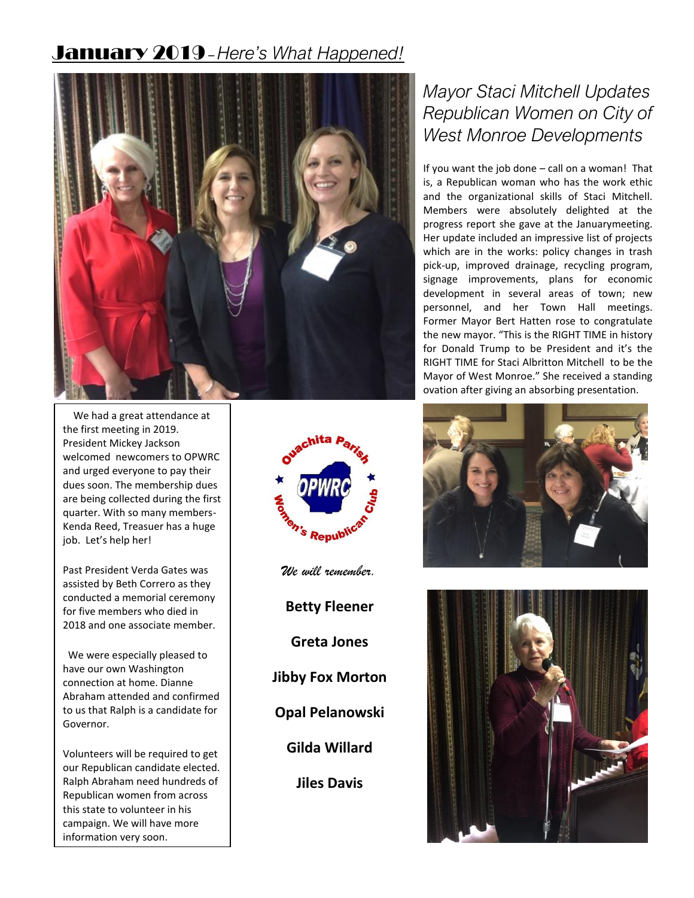# January 2019–*Here's What Happened!*



 We had a great attendance at the first meeting in 2019. President Mickey Jackson welcomed newcomers to OPWRC and urged everyone to pay their dues soon. The membership dues are being collected during the first quarter. With so many members-Kenda Reed, Treasuer has a huge job. Let's help her!

Past President Verda Gates was assisted by Beth Correro as they conducted a memorial ceremony for five members who died in 2018 and one associate member.

 We were especially pleased to have our own Washington connection at home. Dianne Abraham attended and confirmed to us that Ralph is a candidate for Governor.

Volunteers will be required to get our Republican candidate elected. Ralph Abraham need hundreds of Republican women from across this state to volunteer in his campaign. We will have more information very soon.



*We will remember.*

**Betty Fleener**

**Greta Jones**

**Jibby Fox Morton**

**Opal Pelanowski**

**Gilda Willard**

**Jiles Davis**

# *Mayor Staci Mitchell Updates Republican Women on City of West Monroe Developments*

If you want the job done – call on a woman! That is, a Republican woman who has the work ethic and the organizational skills of Staci Mitchell. Members were absolutely delighted at the progress report she gave at the Januarymeeting. Her update included an impressive list of projects which are in the works: policy changes in trash pick-up, improved drainage, recycling program, signage improvements, plans for economic development in several areas of town; new personnel, and her Town Hall meetings. Former Mayor Bert Hatten rose to congratulate the new mayor. "This is the RIGHT TIME in history for Donald Trump to be President and it's the RIGHT TIME for Staci Albritton Mitchell to be the Mayor of West Monroe." She received a standing ovation after giving an absorbing presentation.



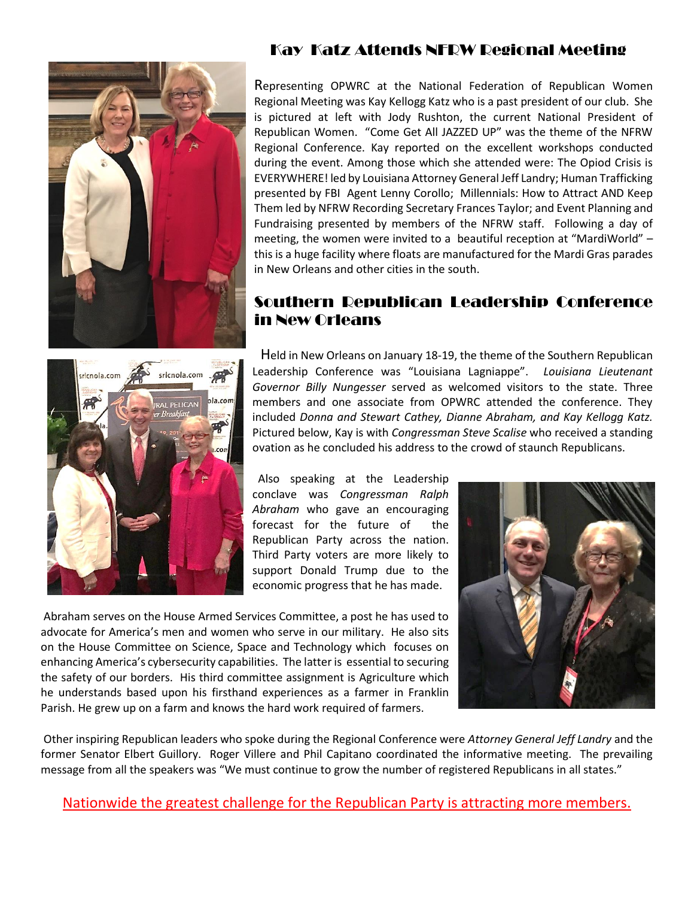

## Kay Katz Attends NFRW Regional Meeting

Representing OPWRC at the National Federation of Republican Women Regional Meeting was Kay Kellogg Katz who is a past president of our club. She is pictured at left with Jody Rushton, the current National President of Republican Women. "Come Get All JAZZED UP" was the theme of the NFRW Regional Conference. Kay reported on the excellent workshops conducted during the event. Among those which she attended were: The Opiod Crisis is EVERYWHERE! led by Louisiana Attorney General Jeff Landry; Human Trafficking presented by FBI Agent Lenny Corollo; Millennials: How to Attract AND Keep Them led by NFRW Recording Secretary Frances Taylor; and Event Planning and Fundraising presented by members of the NFRW staff. Following a day of meeting, the women were invited to a beautiful reception at "MardiWorld" – this is a huge facility where floats are manufactured for the Mardi Gras parades in New Orleans and other cities in the south.

## Southern Republican Leadership Conference in New Orleans



Held in New Orleans on January 18-19, the theme of the Southern Republican Leadership Conference was "Louisiana Lagniappe". *Louisiana Lieutenant Governor Billy Nungesser* served as welcomed visitors to the state. Three members and one associate from OPWRC attended the conference. They included *Donna and Stewart Cathey, Dianne Abraham, and Kay Kellogg Katz.* Pictured below, Kay is with *Congressman Steve Scalise* who received a standing ovation as he concluded his address to the crowd of staunch Republicans.

 Also speaking at the Leadership conclave was *Congressman Ralph Abraham* who gave an encouraging forecast for the future of the Republican Party across the nation. Third Party voters are more likely to support Donald Trump due to the economic progress that he has made.

Abraham serves on the House Armed Services Committee, a post he has used to advocate for America's men and women who serve in our military. He also sits on the House Committee on Science, Space and Technology which focuses on enhancing America's cybersecurity capabilities. The latter is essential to securing the safety of our borders. His third committee assignment is Agriculture which he understands based upon his firsthand experiences as a farmer in Franklin Parish. He grew up on a farm and knows the hard work required of farmers.



Other inspiring Republican leaders who spoke during the Regional Conference were *Attorney General Jeff Landry* and the former Senator Elbert Guillory. Roger Villere and Phil Capitano coordinated the informative meeting. The prevailing message from all the speakers was "We must continue to grow the number of registered Republicans in all states."

Nationwide the greatest challenge for the Republican Party is attracting more members.